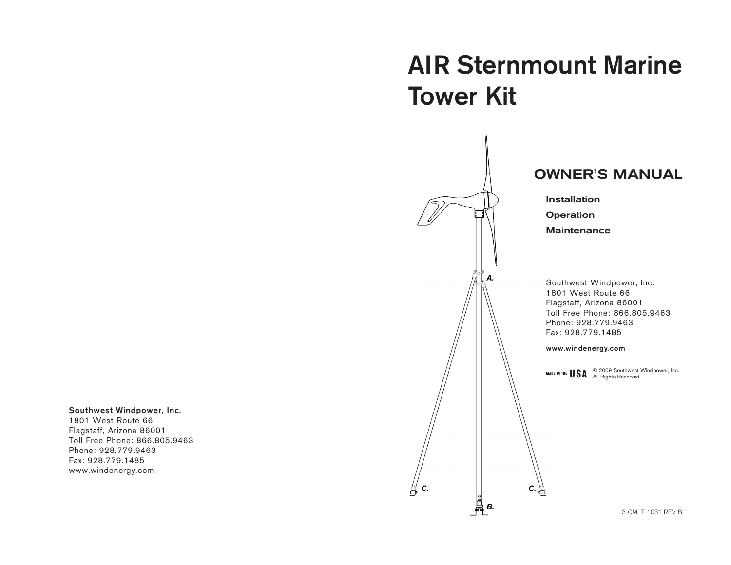#### Southwest Windpower, Inc.

1801 West Route 66 Flagstaff, Arizona 86001 Toll Free Phone: 866.805.9463 Phone: 928.779.9463 Fax: 928.779.1485 www.windenergy.com

# AIR Sternmount Marine Tower Kit



₩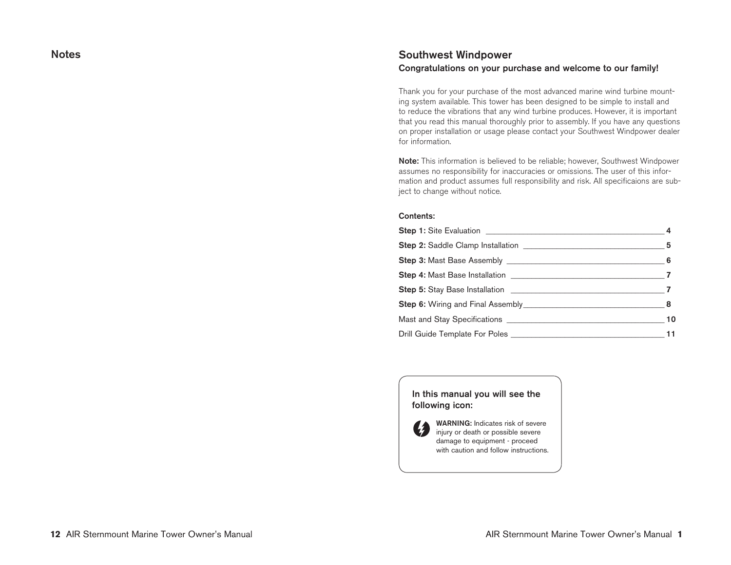## **Notes**

# Southwest Windpower Congratulations on your purchase and welcome to our family!

Thank you for your purchase of the most advanced marine wind turbine mounting system available. This tower has been designed to be simple to install and to reduce the vibrations that any wind turbine produces. However, it is important that you read this manual thoroughly prior to assembly. If you have any questions on proper installation or usage please contact your Southwest Windpower dealer for information.

Note: This information is believed to be reliable; however, Southwest Windpower assumes no responsibility for inaccuracies or omissions. The user of this information and product assumes full responsibility and risk. All specificaions are subject to change without notice.

#### Contents:

In this manual you will see the following icon:



WARNING: Indicates risk of severe injury or death or possible severe damage to equipment - proceed with caution and follow instructions.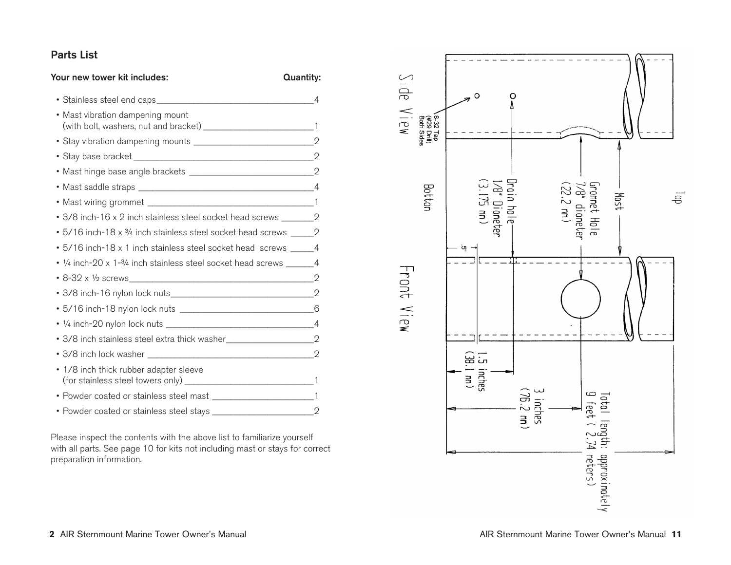# Parts List

| Your new tower kit includes:                                                     | <b>Quantity:</b> |
|----------------------------------------------------------------------------------|------------------|
|                                                                                  |                  |
| • Mast vibration dampening mount                                                 |                  |
|                                                                                  |                  |
|                                                                                  |                  |
|                                                                                  |                  |
|                                                                                  |                  |
|                                                                                  |                  |
| • 3/8 inch-16 x 2 inch stainless steel socket head screws ________________2      |                  |
| • 5/16 inch-18 x 3/4 inch stainless steel socket head screws ________ 2          |                  |
| • 5/16 inch-18 x 1 inch stainless steel socket head screws ______ 4              |                  |
| • 1/4 inch-20 x 1-3/4 inch stainless steel socket head screws ________ 4         |                  |
| • 8-32 x 1/2 screws 2                                                            |                  |
|                                                                                  |                  |
|                                                                                  |                  |
|                                                                                  |                  |
| • 3/8 inch stainless steel extra thick washer___________________________________ |                  |
|                                                                                  |                  |
| • 1/8 inch thick rubber adapter sleeve                                           |                  |
|                                                                                  |                  |
|                                                                                  |                  |

Please inspect the contents with the above list to familiarize yourself with all parts. See page 10 for kits not including mast or stays for correct preparation information.

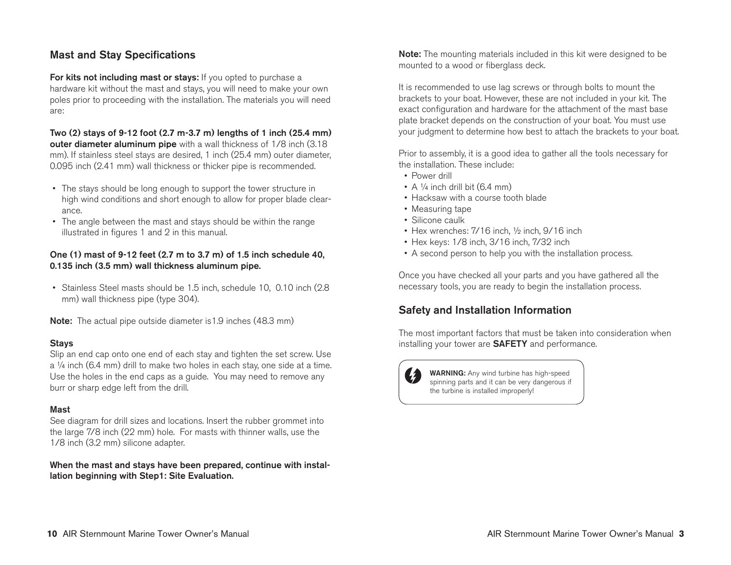# Mast and Stay Specifications

For kits not including mast or stays: If you opted to purchase a hardware kit without the mast and stays, you will need to make your own poles prior to proceeding with the installation. The materials you will need are:

Two (2) stays of 9-12 foot (2.7 m-3.7 m) lengths of 1 inch (25.4 mm) outer diameter aluminum pipe with a wall thickness of 1/8 inch (3.18) mm). If stainless steel stays are desired, 1 inch (25.4 mm) outer diameter, 0.095 inch (2.41 mm) wall thickness or thicker pipe is recommended.

- The stays should be long enough to support the tower structure in high wind conditions and short enough to allow for proper blade clearance.
- The angle between the mast and stays should be within the range illustrated in figures 1 and 2 in this manual.

## One (1) mast of 9-12 feet (2.7 m to 3.7 m) of 1.5 inch schedule 40, 0.135 inch (3.5 mm) wall thickness aluminum pipe.

• Stainless Steel masts should be 1.5 inch, schedule 10, 0.10 inch (2.8) mm) wall thickness pipe (type 304).

**Note:** The actual pipe outside diameter is 1.9 inches (48.3 mm)

## Stays

Slip an end cap onto one end of each stay and tighten the set screw. Use a ¼ inch (6.4 mm) drill to make two holes in each stay, one side at a time. Use the holes in the end caps as a guide. You may need to remove any burr or sharp edge left from the drill.

#### Mast

See diagram for drill sizes and locations. Insert the rubber grommet into the large 7/8 inch (22 mm) hole. For masts with thinner walls, use the 1/8 inch (3.2 mm) silicone adapter.

When the mast and stays have been prepared, continue with installation beginning with Step1: Site Evaluation.

**Note:** The mounting materials included in this kit were designed to be mounted to a wood or fiberglass deck.

It is recommended to use lag screws or through bolts to mount the brackets to your boat. However, these are not included in your kit. The exact configuration and hardware for the attachment of the mast base plate bracket depends on the construction of your boat. You must use your judgment to determine how best to attach the brackets to your boat.

Prior to assembly, it is a good idea to gather all the tools necessary for the installation. These include:

- Power drill
- A  $\frac{1}{4}$  inch drill bit (6.4 mm)
- Hacksaw with a course tooth blade
- Measuring tape
- Silicone caulk
- Hex wrenches: 7/16 inch, 1/2 inch, 9/16 inch
- Hex keys: 1/8 inch, 3/16 inch, 7/32 inch
- A second person to help you with the installation process.

Once you have checked all your parts and you have gathered all the necessary tools, you are ready to begin the installation process.

# Safety and Installation Information

The most important factors that must be taken into consideration when installing your tower are SAFETY and performance.

WARNING: Any wind turbine has high-speed spinning parts and it can be very dangerous if the turbine is installed improperly!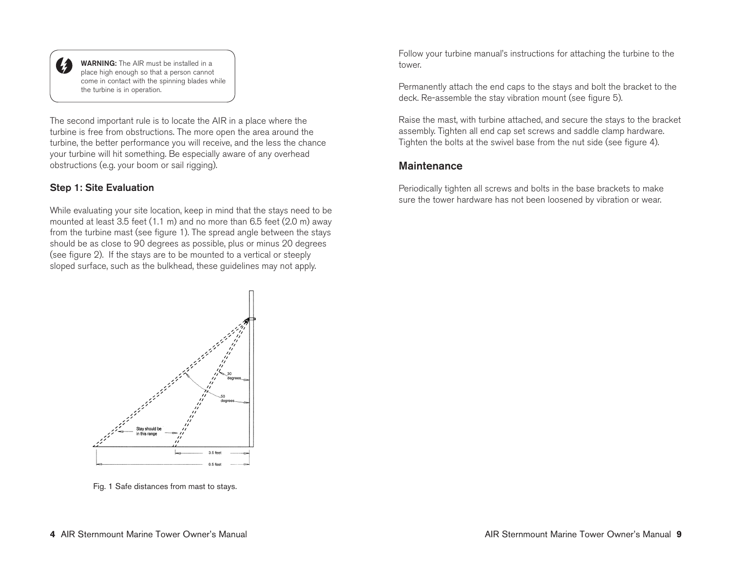

WARNING: The AIR must be installed in a place high enough so that a person cannot come in contact with the spinning blades while the turbine is in operation.

The second important rule is to locate the AIR in a place where the turbine is free from obstructions. The more open the area around the turbine, the better performance you will receive, and the less the chance your turbine will hit something. Be especially aware of any overhead obstructions (e.g. your boom or sail rigging).

## Step 1: Site Evaluation

While evaluating your site location, keep in mind that the stays need to be mounted at least 3.5 feet (1.1 m) and no more than 6.5 feet (2.0 m) away from the turbine mast (see figure 1). The spread angle between the stays should be as close to 90 degrees as possible, plus or minus 20 degrees (see figure 2). If the stays are to be mounted to a vertical or steeply sloped surface, such as the bulkhead, these guidelines may not apply.

> Stay should be in this range  $3.5$ fee

Fig. 1 Safe distances from mast to stays.

Follow your turbine manual's instructions for attaching the turbine to the tower.

Permanently attach the end caps to the stays and bolt the bracket to the deck. Re-assemble the stay vibration mount (see figure 5).

Raise the mast, with turbine attached, and secure the stays to the bracket assembly. Tighten all end cap set screws and saddle clamp hardware. Tighten the bolts at the swivel base from the nut side (see figure 4).

## **Maintenance**

Periodically tighten all screws and bolts in the base brackets to make sure the tower hardware has not been loosened by vibration or wear.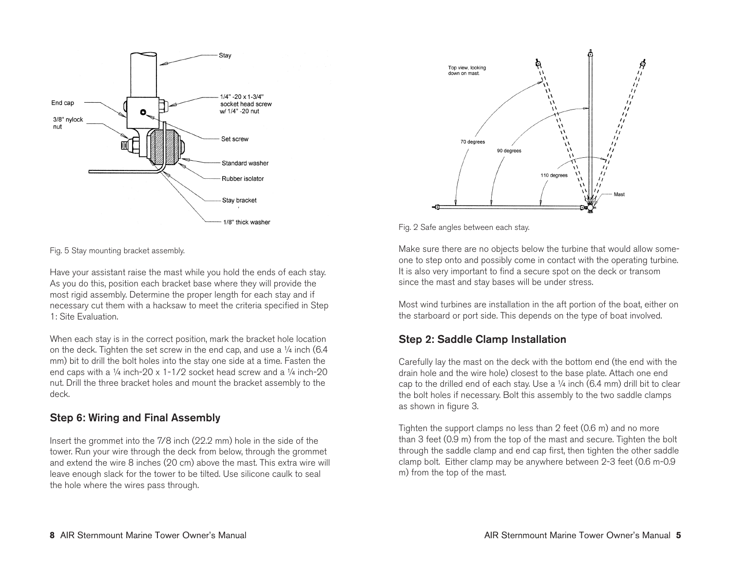



Have your assistant raise the mast while you hold the ends of each stay. As you do this, position each bracket base where they will provide the most rigid assembly. Determine the proper length for each stay and if necessary cut them with a hacksaw to meet the criteria specified in Step 1: Site Evaluation.

When each stay is in the correct position, mark the bracket hole location on the deck. Tighten the set screw in the end cap, and use a  $\frac{1}{4}$  inch (6.4) mm) bit to drill the bolt holes into the stay one side at a time. Fasten the end caps with a  $\frac{1}{4}$  inch-20 x 1-1/2 socket head screw and a  $\frac{1}{4}$  inch-20 nut. Drill the three bracket holes and mount the bracket assembly to the deck.

# Step 6: Wiring and Final Assembly

Insert the grommet into the 7/8 inch (22.2 mm) hole in the side of the tower. Run your wire through the deck from below, through the grommet and extend the wire 8 inches (20 cm) above the mast. This extra wire will leave enough slack for the tower to be tilted. Use silicone caulk to seal the hole where the wires pass through.



Fig. 2 Safe angles between each stay.

Make sure there are no objects below the turbine that would allow someone to step onto and possibly come in contact with the operating turbine. It is also very important to find a secure spot on the deck or transom since the mast and stay bases will be under stress.

Most wind turbines are installation in the aft portion of the boat, either on the starboard or port side. This depends on the type of boat involved.

# Step 2: Saddle Clamp Installation

Carefully lay the mast on the deck with the bottom end (the end with the drain hole and the wire hole) closest to the base plate. Attach one end cap to the drilled end of each stay. Use a  $\frac{1}{4}$  inch (6.4 mm) drill bit to clear the bolt holes if necessary. Bolt this assembly to the two saddle clamps as shown in figure 3.

Tighten the support clamps no less than 2 feet (0.6 m) and no more than 3 feet (0.9 m) from the top of the mast and secure. Tighten the bolt through the saddle clamp and end cap first, then tighten the other saddle clamp bolt. Either clamp may be anywhere between 2-3 feet (0.6 m-0.9 m) from the top of the mast.